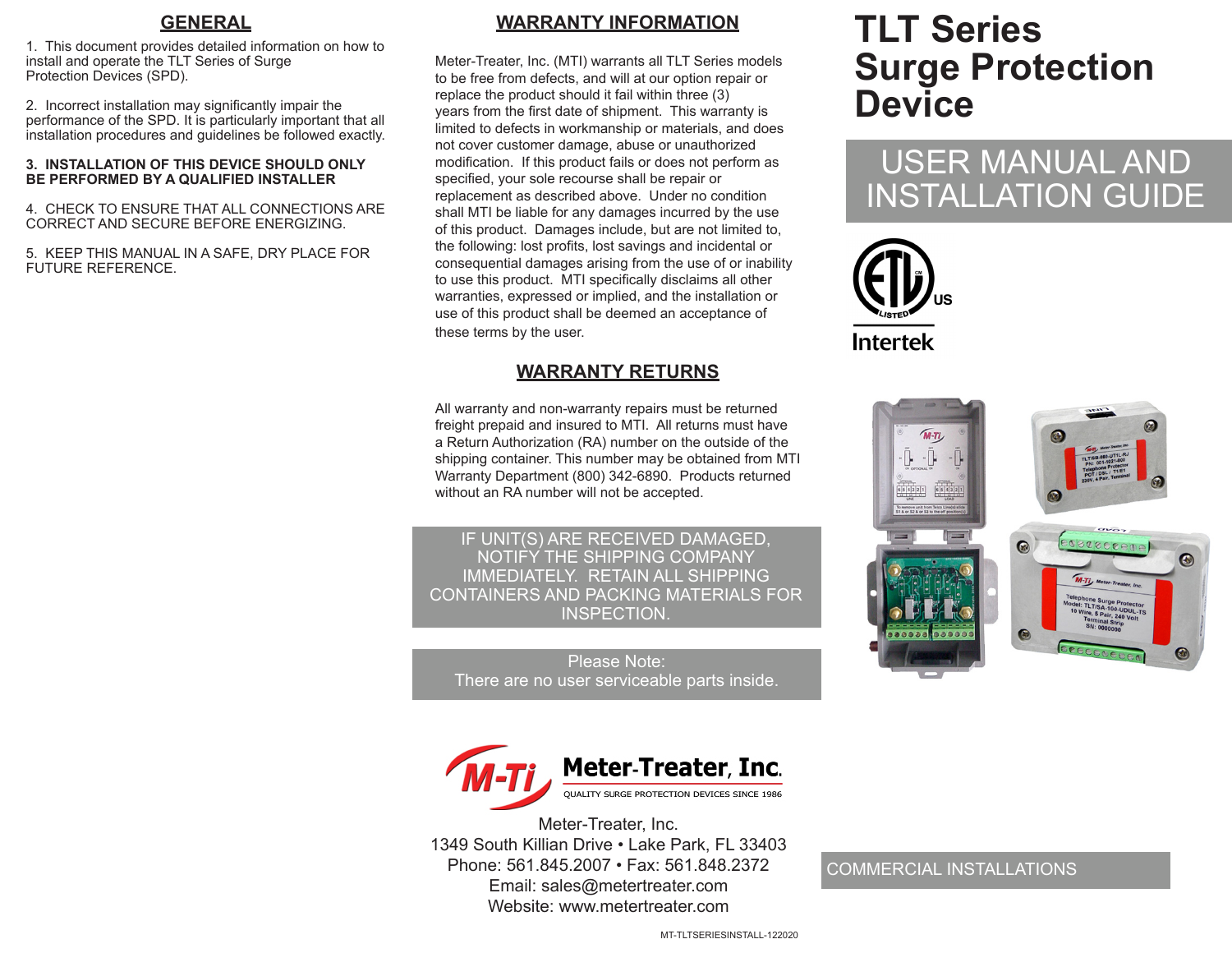#### **GENERAL**

1. This document provides detailed information on how to install and operate the TLT Series of Surge Protection Devices (SPD).

2. Incorrect installation may significantly impair the performance of the SPD. It is particularly important that all installation procedures and guidelines be followed exactly.

#### **3. INSTALLATION OF THIS DEVICE SHOULD ONLY BE PERFORMED BY A QUALIFIED INSTALLER**

4. CHECK TO ENSURE THAT ALL CONNECTIONS ARE CORRECT AND SECURE BEFORE ENERGIZING.

5. KEEP THIS MANUAL IN A SAFE, DRY PLACE FOR FUTURE REFERENCE.

## **WARRANTY INFORMATION**

Meter-Treater, Inc. (MTI) warrants all TLT Series models to be free from defects, and will at our option repair or replace the product should it fail within three (3) years from the first date of shipment. This warranty is limited to defects in workmanship or materials, and does not cover customer damage, abuse or unauthorized modification. If this product fails or does not perform as specified, your sole recourse shall be repair or replacement as described above. Under no condition shall MTI be liable for any damages incurred by the use of this product. Damages include, but are not limited to, the following: lost profits, lost savings and incidental or consequential damages arising from the use of or inability to use this product. MTI specifically disclaims all other warranties, expressed or implied, and the installation or use of this product shall be deemed an acceptance of these terms by the user.

## **WARRANTY RETURNS**

All warranty and non-warranty repairs must be returned freight prepaid and insured to MTI. All returns must have a Return Authorization (RA) number on the outside of the shipping container. This number may be obtained from MTI Warranty Department (800) 342-6890. Products returned without an RA number will not be accepted.

IF UNIT(S) ARE RECEIVED DAMAGED, NOTIFY THE SHIPPING COMPANY IMMEDIATELY. RETAIN ALL SHIPPING CONTAINERS AND PACKING MATERIALS FOR INSPECTION.

Please Note: There are no user serviceable parts inside.



Meter-Treater, Inc. 1349 South Killian Drive • Lake Park, FL 33403 Phone: 561.845.2007 • Fax: 561.848.2372 Email: sales@metertreater.com Website: www.metertreater.com

# **TLT Series Surge Protection Device**

# USER MANUAL AND INSTALLATION GUIDE





#### COMMERCIAL INSTALLATIONS